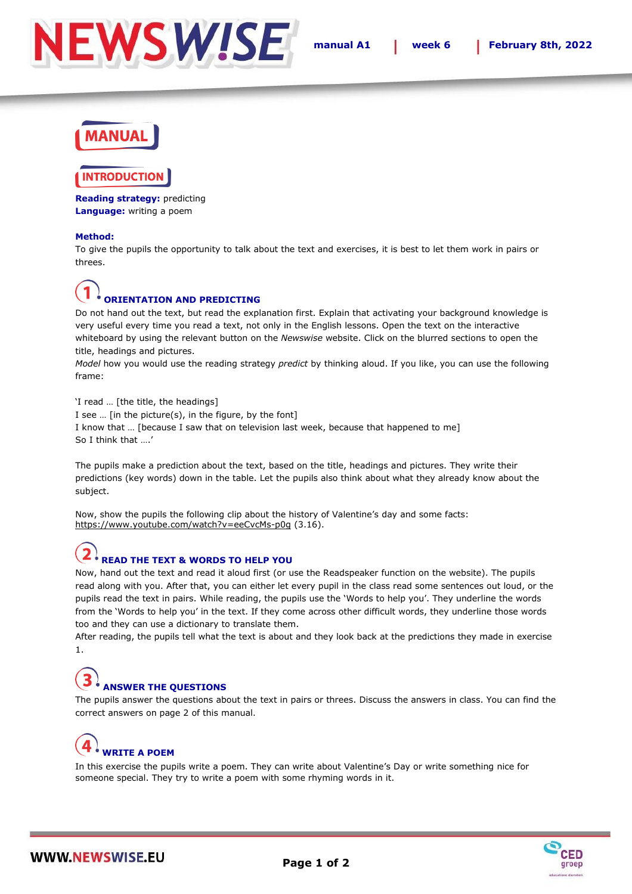

## **IANUA**I

#### **TRODUCTIO**

**Reading strategy:** predicting **Language:** writing a poem

#### **Method:**

To give the pupils the opportunity to talk about the text and exercises, it is best to let them work in pairs or threes.

## **ORIENTATION AND PREDICTING**

Do not hand out the text, but read the explanation first. Explain that activating your background knowledge is very useful every time you read a text, not only in the English lessons. Open the text on the interactive whiteboard by using the relevant button on the *Newswise* website. Click on the blurred sections to open the title, headings and pictures.

*Model* how you would use the reading strategy *predict* by thinking aloud. If you like, you can use the following frame:

'I read … [the title, the headings] I see … [in the picture(s), in the figure, by the font] I know that … [because I saw that on television last week, because that happened to me] So I think that ….'

The pupils make a prediction about the text, based on the title, headings and pictures. They write their predictions (key words) down in the table. Let the pupils also think about what they already know about the subject.

Now, show the pupils the following clip about the history of Valentine's day and some facts: https://www.youtube.com/watch?v=eeCvcMs-p0g (3.16).

### **READ THE TEXT & WORDS TO HELP YOU**

Now, hand out the text and read it aloud first (or use the Readspeaker function on the website). The pupils read along with you. After that, you can either let every pupil in the class read some sentences out loud, or the pupils read the text in pairs. While reading, the pupils use the 'Words to help you'. They underline the words from the 'Words to help you' in the text. If they come across other difficult words, they underline those words too and they can use a dictionary to translate them.

After reading, the pupils tell what the text is about and they look back at the predictions they made in exercise 1.

## **ANSWER THE QUESTIONS**

The pupils answer the questions about the text in pairs or threes. Discuss the answers in class. You can find the correct answers on page 2 of this manual.

## **WRITE A POEM**

In this exercise the pupils write a poem. They can write about Valentine's Day or write something nice for someone special. They try to write a poem with some rhyming words in it.